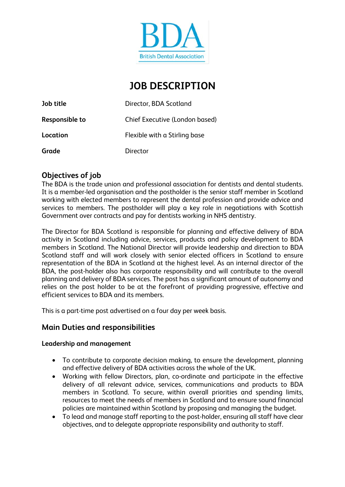

# **JOB DESCRIPTION**

| Job title      | Director, BDA Scotland         |
|----------------|--------------------------------|
| Responsible to | Chief Executive (London based) |
| Location       | Flexible with a Stirling base  |
| Grade          | Director                       |

### **Objectives of job**

The BDA is the trade union and professional association for dentists and dental students. It is a member-led organisation and the postholder is the senior staff member in Scotland working with elected members to represent the dental profession and provide advice and services to members. The postholder will play a key role in negotiations with Scottish Government over contracts and pay for dentists working in NHS dentistry.

The Director for BDA Scotland is responsible for planning and effective delivery of BDA activity in Scotland including advice, services, products and policy development to BDA members in Scotland. The National Director will provide leadership and direction to BDA Scotland staff and will work closely with senior elected officers in Scotland to ensure representation of the BDA in Scotland at the highest level. As an internal director of the BDA, the post-holder also has corporate responsibility and will contribute to the overall planning and delivery of BDA services. The post has a significant amount of autonomy and relies on the post holder to be at the forefront of providing progressive, effective and efficient services to BDA and its members.

This is a part-time post advertised on a four day per week basis.

#### **Main Duties and responsibilities**

#### **Leadership and management**

- To contribute to corporate decision making, to ensure the development, planning and effective delivery of BDA activities across the whole of the UK.
- Working with fellow Directors, plan, co-ordinate and participate in the effective delivery of all relevant advice, services, communications and products to BDA members in Scotland. To secure, within overall priorities and spending limits, resources to meet the needs of members in Scotland and to ensure sound financial policies are maintained within Scotland by proposing and managing the budget.
- To lead and manage staff reporting to the post-holder, ensuring all staff have clear objectives, and to delegate appropriate responsibility and authority to staff.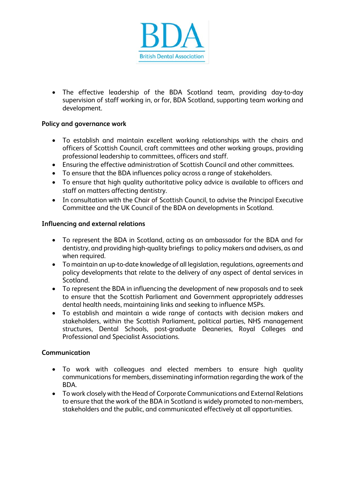

• The effective leadership of the BDA Scotland team, providing day-to-day supervision of staff working in, or for, BDA Scotland, supporting team working and development.

#### **Policy and governance work**

- To establish and maintain excellent working relationships with the chairs and officers of Scottish Council, craft committees and other working groups, providing professional leadership to committees, officers and staff.
- Ensuring the effective administration of Scottish Council and other committees.
- To ensure that the BDA influences policy across a range of stakeholders.
- To ensure that high quality authoritative policy advice is available to officers and staff on matters affecting dentistry.
- In consultation with the Chair of Scottish Council, to advise the Principal Executive Committee and the UK Council of the BDA on developments in Scotland.

#### **Influencing and external relations**

- To represent the BDA in Scotland, acting as an ambassador for the BDA and for dentistry, and providing high-quality briefings to policy makers and advisers, as and when required.
- To maintain an up-to-date knowledge of all legislation, regulations, agreements and policy developments that relate to the delivery of any aspect of dental services in Scotland.
- To represent the BDA in influencing the development of new proposals and to seek to ensure that the Scottish Parliament and Government appropriately addresses dental health needs, maintaining links and seeking to influence MSPs.
- To establish and maintain a wide range of contacts with decision makers and stakeholders, within the Scottish Parliament, political parties, NHS management structures, Dental Schools, post-graduate Deaneries, Royal Colleges and Professional and Specialist Associations.

#### **Communication**

- To work with colleagues and elected members to ensure high quality communications for members, disseminating information regarding the work of the BDA.
- To work closely with the Head of Corporate Communications and External Relations to ensure that the work of the BDA in Scotland is widely promoted to non-members, stakeholders and the public, and communicated effectively at all opportunities.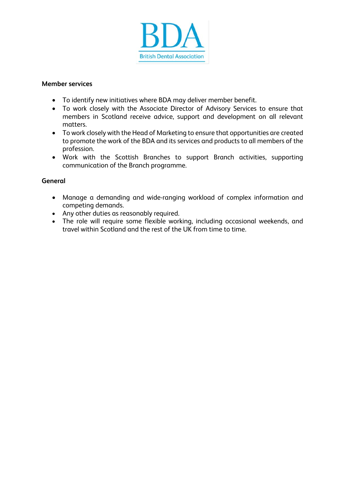

#### **Member services**

- To identify new initiatives where BDA may deliver member benefit.
- To work closely with the Associate Director of Advisory Services to ensure that members in Scotland receive advice, support and development on all relevant matters.
- To work closely with the Head of Marketing to ensure that opportunities are created to promote the work of the BDA and its services and products to all members of the profession.
- Work with the Scottish Branches to support Branch activities, supporting communication of the Branch programme.

#### **General**

- Manage a demanding and wide-ranging workload of complex information and competing demands.
- Any other duties as reasonably required.
- The role will require some flexible working, including occasional weekends, and travel within Scotland and the rest of the UK from time to time.